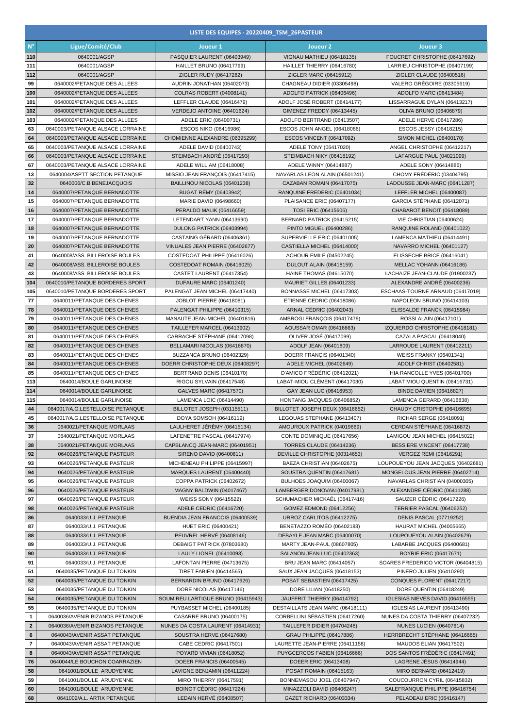| LISTE DES EQUIPES - 20220409 TSM 26PASTEUR |                                                                      |                                                                   |                                                                 |                                                                |  |  |  |
|--------------------------------------------|----------------------------------------------------------------------|-------------------------------------------------------------------|-----------------------------------------------------------------|----------------------------------------------------------------|--|--|--|
| $N^{\circ}$                                | Ligue/Comité/Club                                                    | Joueur 1                                                          | Joueur <sub>2</sub>                                             | Joueur 3                                                       |  |  |  |
| 110                                        | 0640001/AGSP                                                         | PASQUIER LAURENT (06403949)                                       | VIGNAU MATHIEU (06418135)                                       | FOUCRET CHRISTOPHE (06417692)                                  |  |  |  |
| 111                                        | 0640001/AGSP                                                         | HAILLET BRUNO (06417799)                                          | HAILLET THIERRY (06416780)                                      | LARRIEU CHRISTOPHE (06407199)                                  |  |  |  |
| 112                                        | 0640001/AGSP                                                         | ZIGLER RUDY (06417262)                                            | ZIGLER MARC (06415912)                                          | ZIGLER CLAUDE (06400516)                                       |  |  |  |
| 99<br>100                                  | 0640002/PETANQUE DES ALLEES<br>0640002/PETANQUE DES ALLEES           | AUDRIN JONATHAN (06402073)<br>COLRAS ROBERT (04008141)            | CHAGNEAU DIDIER (03305498)<br>ADOLFO PATRICK (06406496)         | VALERO GREGOIRE (03305619)<br>ADOLFO MARC (06413484)           |  |  |  |
| 101                                        | 0640002/PETANQUE DES ALLEES                                          | LEFFLER CLAUDE (06416479)                                         | ADOLF JOSÉ ROBERT (06414177)                                    | LISSARRAGUE DYLAN (06413217)                                   |  |  |  |
| 102                                        | 0640002/PETANQUE DES ALLEES                                          | VERDEJO ANTOINE (06401624)                                        | GIMENEZ FREDDY (06413445)                                       | OLIVA BRUNO (06406879)                                         |  |  |  |
| 103                                        | 0640002/PETANQUE DES ALLEES                                          | ADELE ERIC (06400731)                                             | ADOLFO BERTRAND (06413507)                                      | ADELE HERVE (06417286)                                         |  |  |  |
| 63                                         | 0640003/PETANQUE ALSACE LORRAINE                                     | ESCOS NIKO (06416986)                                             | ESCOS JOHN ANGEL (06418066)                                     | ESCOS JESSY (06418215)                                         |  |  |  |
| 64                                         | 0640003/PETANQUE ALSACE LORRAINE                                     | CHOMIENNE ALEXANDRE (06395299)                                    | ESCOS VINCENT (06417092)                                        | SIMON MICHEL (06400170)                                        |  |  |  |
| 65<br>66                                   | 0640003/PETANQUE ALSACE LORRAINE<br>0640003/PETANQUE ALSACE LORRAINE | ADELE DAVID (06400743)<br>STEIMBACH ANDRÉ (06417293)              | ADELE TONY (06417020)<br>STEIMBACH NIKY (06418192)              | ANGEL CHRISTOPHE (06412217)<br>LAFARGUE PAUL (04021099)        |  |  |  |
| 67                                         | 0640003/PETANQUE ALSACE LORRAINE                                     | ADELE WILLIAM (06418008)                                          | ADELE WINNY (06414887)                                          | ADELE SONY (06414886)                                          |  |  |  |
| 13                                         | 0640004/ASPTT SECTION PETANQUE                                       | MISSIO JEAN FRANÇOIS (06417415)                                   | NAVARLAS LEON ALAIN (06501241)                                  | CHOMY FRÉDÉRIC (03404795)                                      |  |  |  |
| 32                                         | 0640006/C.B.BENEJACQUOIS                                             | BAILLINOU NICOLAS (06401238)                                      | CAZABAN ROMAIN (06417075)                                       | LADOUSSE JEAN-MARC (06411287)                                  |  |  |  |
| 14                                         | 0640007/PETANQUE BERNADOTTE                                          | <b>BUGAT RÉMY (06403942)</b>                                      | RANQUINE FREDERIC (06401034)                                    | LEFFLER MICHEL (06400087)                                      |  |  |  |
| 15                                         | 0640007/PETANQUE BERNADOTTE                                          | MARIE DAVID (06498660)                                            | PLAISANCE ERIC (06407177)                                       | GARCIA STÉPHANE (06412071)                                     |  |  |  |
| 16<br>17                                   | 0640007/PETANQUE BERNADOTTE                                          | PERALDO MALIK (06416659)<br>LETENDART YANN (06413690)             | TOSI ERIC (06415606)                                            | CHABAROT BENOIT (06418089)                                     |  |  |  |
| 18                                         | 0640007/PETANQUE BERNADOTTE<br>0640007/PETANQUE BERNADOTTE           | DULONG PATRICK (06403994)                                         | BERNARD PATRICK (06415215)<br>PINTO MIGUEL (06400286)           | VIE CHRISTIAN (06400624)<br>RANQUINE ROLAND (06401022)         |  |  |  |
| 19                                         | 0640007/PETANQUE BERNADOTTE                                          | CASTAING GÉRARD (06406361)                                        | SUPERVIELLE ERIC (06401005)                                     | LAMENCA MATHIEU (06414491)                                     |  |  |  |
| 20                                         | 0640007/PETANQUE BERNADOTTE                                          | VINUALES JEAN PIERRE (06402677)                                   | CASTIELLA MICHEL (06414000)                                     | NAVARRO MICHEL (06401127)                                      |  |  |  |
| 41                                         | 0640008/ASS. BILLEROISE BOULES                                       | COSTEDOAT PHILIPPE (06416026)                                     | ACHOUR EMILE (04502245)                                         | ELISSECHE BRICE (06416041)                                     |  |  |  |
| 42                                         | 0640008/ASS. BILLEROISE BOULES                                       | COSTEDOAT ROMAIN (06416025)                                       | DULOUT ALAIN (06418159)                                         | MELLAC YOHANN (06416186)                                       |  |  |  |
| 43<br>104                                  | 0640008/ASS. BILLEROISE BOULES                                       | CASTET LAURENT (06417354)                                         | <b>HAINE THOMAS (04615070)</b>                                  | LACHAIZE JEAN-CLAUDE (01900237)                                |  |  |  |
| 105                                        | 0640010/PETANQUE BORDERES SPORT<br>0640010/PETANQUE BORDERES SPORT   | <b>DUFAURE MARC (06401240)</b><br>PALENGAT JEAN MICHEL (06417440) | MAURIET GILLES (06401233)<br>BONNASSE MICHEL (06417303)         | ALEXANDRE ANDRE (06400236)<br>ESCHAAS-TOURNE ARNAUD (06417019) |  |  |  |
| 77                                         | 0640011/PETANQUE DES CHENES                                          | JOBLOT PIERRE (06418081)                                          | ETIENNE CEDRIC (06418086)                                       | NAPOLEON BRUNO (06414103)                                      |  |  |  |
| 78                                         | 0640011/PETANQUE DES CHENES                                          | PALENGAT PHILIPPE (06410315)                                      | <b>ARNAL CÉDRIC (06402043)</b>                                  | ELISSALDE FRANCK (06415984)                                    |  |  |  |
| 79                                         | 0640011/PETANQUE DES CHENES                                          | MANAUTE JEAN-MICHEL (06401816)                                    | AMBROGI FRANÇOIS (06417479)                                     | ROSSI ALAIN (06417101)                                         |  |  |  |
| 80                                         | 0640011/PETANQUE DES CHENES                                          | TAILLEFER MARCEL (06413902)                                       | AOUSSAR OMAR (06416663)                                         | IZQUIERDO CHRISTOPHE (06418181)                                |  |  |  |
| 81<br>82                                   | 0640011/PETANQUE DES CHENES<br>0640011/PETANQUE DES CHENES           | CARRACHE STÉPHANE (06417098)<br>BELLAMARI NICOLAS (06416870)      | OLIVER JOSÉ (06417099)<br>ADOLF JEAN (06401809)                 | CAZALA PASCAL (06418040)<br>LARROUDE LAURENT (06412211)        |  |  |  |
| 83                                         | 0640011/PETANQUE DES CHENES                                          | BUZZANCA BRUNO (06402329)                                         | DOERR FRANÇIS (06401340)                                        | <b>WEISS FRANKY (06401341)</b>                                 |  |  |  |
| 84                                         | 0640011/PETANQUE DES CHENES                                          | DOERR CHRISTOPHE DEUX (06408297)                                  | ADELE MICHEL (06402649)                                         | ADOLF CHRIST (06402581)                                        |  |  |  |
| 85                                         | 0640011/PETANQUE DES CHENES                                          | BERTRAND DENIS (06410170)                                         | D'AMICO FRÉDÉRIC (06412021)                                     | HIA RANCOLLE YVES (06401700)                                   |  |  |  |
| 113                                        | 0640014/BOULE GARLINOISE                                             | RIGOU SYLVAIN (06417548)                                          | LABAT-MIOU CLÉMENT (06417030)                                   | LABAT MIOU QUENTIN (06416731)                                  |  |  |  |
| 114                                        | 0640014/BOULE GARLINOISE                                             | GALVES MARC (06417570)                                            | GAY JEAN LUC (06416953)                                         | <b>BINDE DAMIEN (06416827)</b>                                 |  |  |  |
| 115<br>44                                  | 0640014/BOULE GARLINOISE<br>0640017/A.G.LESTELLOISE PETANQUE         | LAMENCA LOIC (06414490)<br>BILLOTET JOSEPH (03115511)             | HONTANG JACQUES (06406852)<br>BILLOTET JOSEPH DEUX (06416652)   | LAMENCA GERARD (06416838)<br>CHAUDY CRISTOPHE (06416695)       |  |  |  |
| 45                                         | 0640017/A.G.LESTELLOISE PETANQUE                                     | DOYA SOMSOH (06416119)                                            | LEGOUAS STEPHANE (06413407)                                     | RICHAR SERGE (06418091)                                        |  |  |  |
| 36                                         | 0640021/PETANQUE MORLAAS                                             | LAULHERET JÉRÉMY (06415134)                                       | AMOUROUX PATRICK (04019669)                                     | CERDAN STÉPHANE (06416872)                                     |  |  |  |
| 37                                         | 0640021/PETANQUE MORLAAS                                             | LAFENETRE PASCAL (06417974)                                       | CONTE DOMINIQUE (06417656)                                      | LAMIGOU JEAN MICHEL (06415022)                                 |  |  |  |
| 38                                         | 0640021/PETANQUE MORLAAS                                             | CAPBLANCQ JEAN-MARC (06401951)                                    | TORRES CLAUDE (06414236)                                        | BESSIERE VINCENT (06417738)                                    |  |  |  |
| 92<br>93                                   | 0640026/PETANQUE PASTEUR<br>0640026/PETANQUE PASTEUR                 | SIRENO DAVID (06400611)<br>MICHENEAU PHILIPPE (06415997)          | DEVILLE CHRISTOPHE (00314653)<br>BAEZA CHRISTIAN (06402675)     | VERGEZ REMI (06416291)<br>LOUPOUEYOU JEAN JACQUES (06402681)   |  |  |  |
| 94                                         | 0640026/PETANQUE PASTEUR                                             | MARQUES LAURENT (06400440)                                        | SOUSTRA QUENTIN (06417681)                                      | MONGELOUS JEAN PIERRE (06402714)                               |  |  |  |
| 95                                         | 0640026/PETANQUE PASTEUR                                             | COPPA PATRICK (06402672)                                          | BULHOES JOAQUIM (06400067)                                      | NAVARLAS CHRISTIAN (04000305)                                  |  |  |  |
| 96                                         | 0640026/PETANQUE PASTEUR                                             | MAGNY BALDWIN (04017467)                                          | LAMBERGER DONOVAN (04017981)                                    | ALEXANDRE CÉDRIC (06411288)                                    |  |  |  |
| 97                                         | 0640026/PETANQUE PASTEUR                                             | WEISS SONY (06415522)                                             | SCHUMACHER MICKAËL (06417416)                                   | SAUZER CÉDRIC (06417226)                                       |  |  |  |
| 98                                         | 0640026/PETANQUE PASTEUR                                             | ADELE CEDRIC (06416720)                                           | GOMEZ EDMOND (06412256)<br>URROZ CARLITOS (06412275)            | TERRIER PASCAL (06406252)                                      |  |  |  |
| 86<br>87                                   | 0640033/U.J. PETANQUE<br>0640033/U.J. PETANQUE                       | BUENDIA JEAN FRANCOIS (06400539)<br>HUET ERIC (06400421)          | BENETAZZO ROMÉO (06402183)                                      | DENIS PASCAL (07719252)<br>HAURAT MICHEL (04005665)            |  |  |  |
| 88                                         | 0640033/U.J. PETANQUE                                                | PEUVREL HERVE (06408146)                                          | DEBAYLE JEAN MARC (06400070)                                    | LOUPOUEYOU ALAIN (06402679)                                    |  |  |  |
| 89                                         | 0640033/U.J. PETANQUE                                                | DEBAIGT PATRICK (07803680)                                        | MARTY JEAN-PAUL (08607805)                                      | LABARBE JACQUES (06400681)                                     |  |  |  |
| 90                                         | 0640033/U.J. PETANQUE                                                | <b>LAULY LIONEL (06410093)</b>                                    | SALANON JEAN LUC (06402363)                                     | <b>BOYRIE ERIC (06417671)</b>                                  |  |  |  |
| 91                                         | 0640033/U.J. PETANQUE                                                | LAFONTAN PIERRE (04713675)                                        | BRU JEAN MARC (06414057)                                        | SOARES FREDERICO VICTOR (06404815)                             |  |  |  |
| 51<br>52                                   | 0640035/PETANQUE DU TONKIN<br>0640035/PETANQUE DU TONKIN             | <b>TIRET FABIEN (06414565)</b><br>BERNARDIN BRUNO (06417626)      | SAUX JEAN JACQUES (06418153)                                    | PINERO JULIEN (06410290)                                       |  |  |  |
| 53                                         | 0640035/PETANQUE DU TONKIN                                           | DORE NICOLAS (06417146)                                           | POSAT SEBASTIEN (06417425)<br>DORE LILIAN (06418250)            | CONQUES FLORENT (06417217)<br>DORE QUENTIN (06418249)          |  |  |  |
| 54                                         | 0640035/PETANQUE DU TONKIN                                           | SOUMIREU LARTIGUE BRUNO (06415943)                                | JAUFFRIT THIERRY (06414792)                                     | IGLESIAS NIEVES DAVID (06416555)                               |  |  |  |
| 55                                         | 0640035/PETANQUE DU TONKIN                                           | PUYBASSET MICHEL (06400185)                                       | DESTAILLATS JEAN MARC (06418111)                                | IGLESIAS LAURENT (06413490)                                    |  |  |  |
| $\mathbf{1}$                               | 0640036/AVENIR BIZANOS PETANQUE                                      | CASARRE BRUNO (06400175)                                          | CORBELLINI SÉBASTIEN (06417260)                                 | NUNES DA COSTA THIERRY (06407232)                              |  |  |  |
| $\overline{2}$                             | 0640036/AVENIR BIZANOS PETANQUE                                      | NUNES DA COSTA LAURENT (06414931)                                 | TAILLEFER DIDIER (04704248)                                     | <b>NUNES LUCIEN (06407614)</b>                                 |  |  |  |
| $\bf 6$                                    | 0640043/AVENIR ASSAT PETANQUE                                        | SOUSTRA HERVE (06417680)                                          | <b>GRAU PHILIPPE (06417886)</b>                                 | HERRBRECHT STÉPHANE (06416665)                                 |  |  |  |
| $\overline{7}$<br>8                        | 0640043/AVENIR ASSAT PETANQUE<br>0640043/AVENIR ASSAT PETANQUE       | CABE CEDRIC (06417501)<br>POYARD VIVIAN (06418052)                | LAURETTE JEAN-PIERRE (06411158)<br>PUYGCERCOS FABIEN (06416666) | MAUDOS ELIAN (06417502)<br>DOS SANTOS FRÉDÉRIC (06417491)      |  |  |  |
| 76                                         | 0640044/LE BOUCHON COARRAZIEN                                        | DOEER FRANCIS (06400545)                                          | DOEER ERIC (06413408)                                           | LAGRENE JÉSUS (06414944)                                       |  |  |  |
| 58                                         | 0641001/BOULE ARUDYENNE                                              | LAVIGNE BENJAMIN (06411224)                                       | POSAT ROMAIN (06415163)                                         | MIRO BERNARD (06412419)                                        |  |  |  |
| 59                                         | 0641001/BOULE ARUDYENNE                                              | MIRO THIERRY (06417591)                                           | BONNEMASOU JOEL (06407947)                                      | COUCOURRON CYRIL (06415832)                                    |  |  |  |
| 60                                         | 0641001/BOULE ARUDYENNE                                              | BOINOT CÉDRIC (06417224)                                          | MINAZZOLI DAVID (06406247)                                      | SALEFRANQUE PHILIPPE (06416754)                                |  |  |  |
| 68                                         | 0641002/A.L. ARTIX PETANQUE                                          | LEDAIN HERVÉ (06408507)                                           | GAZET RICHARD (06403334)                                        | PELADEAU ERIC (06416147)                                       |  |  |  |